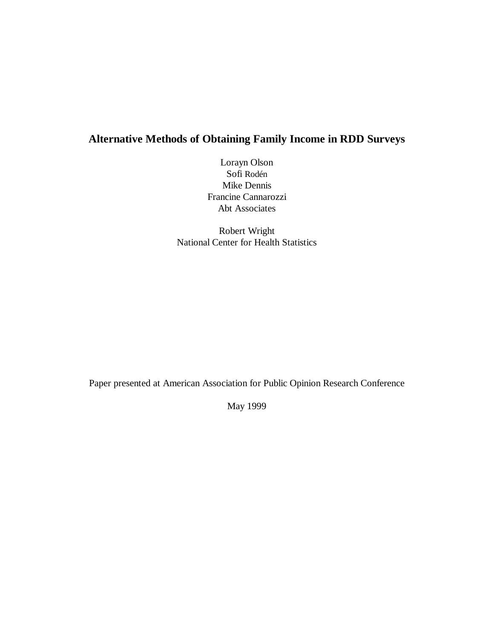# **Alternative Methods of Obtaining Family Income in RDD Surveys**

Lorayn Olson Sofi Rodén Mike Dennis Francine Cannarozzi Abt Associates

Robert Wright National Center for Health Statistics

Paper presented at American Association for Public Opinion Research Conference

May 1999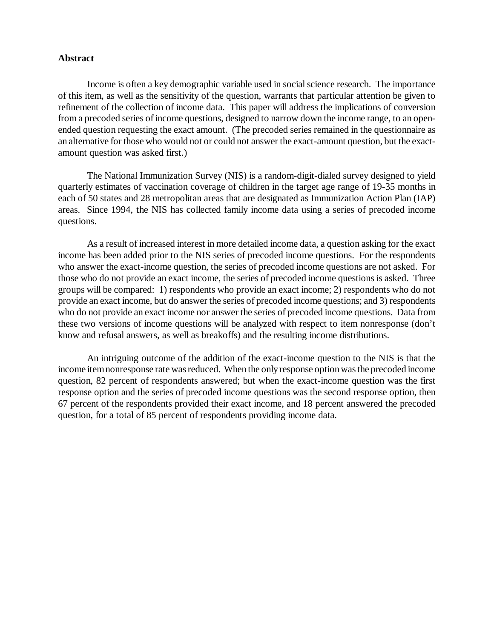### **Abstract**

Income is often a key demographic variable used in social science research. The importance of this item, as well as the sensitivity of the question, warrants that particular attention be given to refinement of the collection of income data. This paper will address the implications of conversion from a precoded series of income questions, designed to narrow down the income range, to an openended question requesting the exact amount. (The precoded series remained in the questionnaire as an alternative for those who would not or could not answer the exact-amount question, but the exactamount question was asked first.)

The National Immunization Survey (NIS) is a random-digit-dialed survey designed to yield quarterly estimates of vaccination coverage of children in the target age range of 19-35 months in each of 50 states and 28 metropolitan areas that are designated as Immunization Action Plan (IAP) areas. Since 1994, the NIS has collected family income data using a series of precoded income questions.

As a result of increased interest in more detailed income data, a question asking for the exact income has been added prior to the NIS series of precoded income questions. For the respondents who answer the exact-income question, the series of precoded income questions are not asked. For those who do not provide an exact income, the series of precoded income questions is asked. Three groups will be compared: 1) respondents who provide an exact income; 2) respondents who do not provide an exact income, but do answer the series of precoded income questions; and 3) respondents who do not provide an exact income nor answer the series of precoded income questions. Data from these two versions of income questions will be analyzed with respect to item nonresponse (don't know and refusal answers, as well as breakoffs) and the resulting income distributions.

An intriguing outcome of the addition of the exact-income question to the NIS is that the income item nonresponse rate was reduced. When the only response option was the precoded income question, 82 percent of respondents answered; but when the exact-income question was the first response option and the series of precoded income questions was the second response option, then 67 percent of the respondents provided their exact income, and 18 percent answered the precoded question, for a total of 85 percent of respondents providing income data.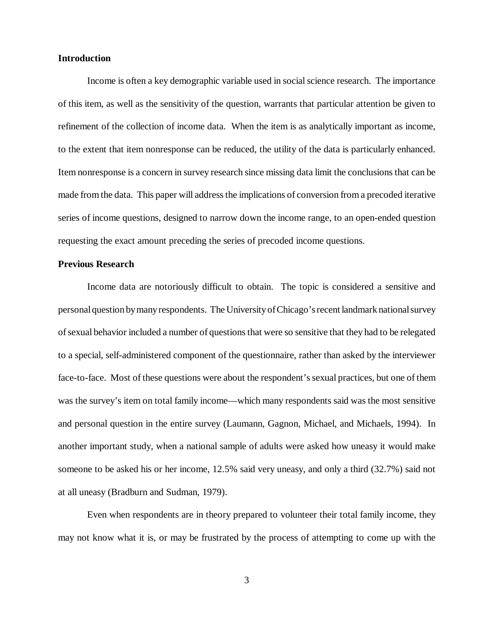## **Introduction**

Income is often a key demographic variable used in social science research. The importance of this item, as well as the sensitivity of the question, warrants that particular attention be given to refinement of the collection of income data. When the item is as analytically important as income, to the extent that item nonresponse can be reduced, the utility of the data is particularly enhanced. Item nonresponse is a concern in survey research since missing data limit the conclusions that can be made from the data. This paper will address the implications of conversion from a precoded iterative series of income questions, designed to narrow down the income range, to an open-ended question requesting the exact amount preceding the series of precoded income questions.

## **Previous Research**

Income data are notoriously difficult to obtain. The topic is considered a sensitive and personal question by many respondents. The University of Chicago's recent landmark national survey of sexual behavior included a number of questions that were so sensitive that they had to be relegated to a special, self-administered component of the questionnaire, rather than asked by the interviewer face-to-face. Most of these questions were about the respondent's sexual practices, but one of them was the survey's item on total family income— which many respondents said was the most sensitive and personal question in the entire survey (Laumann, Gagnon, Michael, and Michaels, 1994). In another important study, when a national sample of adults were asked how uneasy it would make someone to be asked his or her income, 12.5% said very uneasy, and only a third (32.7%) said not at all uneasy (Bradburn and Sudman, 1979).

Even when respondents are in theory prepared to volunteer their total family income, they may not know what it is, or may be frustrated by the process of attempting to come up with the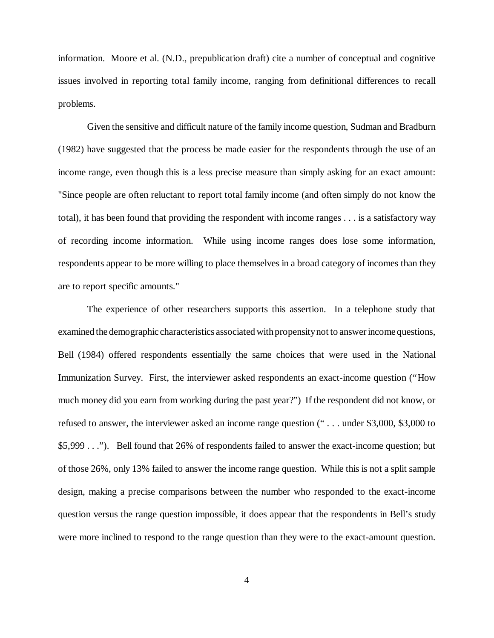information. Moore et al. (N.D., prepublication draft) cite a number of conceptual and cognitive issues involved in reporting total family income, ranging from definitional differences to recall problems.

Given the sensitive and difficult nature of the family income question, Sudman and Bradburn (1982) have suggested that the process be made easier for the respondents through the use of an income range, even though this is a less precise measure than simply asking for an exact amount: "Since people are often reluctant to report total family income (and often simply do not know the total), it has been found that providing the respondent with income ranges . . . is a satisfactory way of recording income information. While using income ranges does lose some information, respondents appear to be more willing to place themselves in a broad category of incomes than they are to report specific amounts."

The experience of other researchers supports this assertion. In a telephone study that examined the demographic characteristics associated with propensity not to answer income questions, Bell (1984) offered respondents essentially the same choices that were used in the National Immunization Survey. First, the interviewer asked respondents an exact-income question ("How much money did you earn from working during the past year?") If the respondent did not know, or refused to answer, the interviewer asked an income range question (" . . . under \$3,000, \$3,000 to \$5,999 . . ."). Bell found that 26% of respondents failed to answer the exact-income question; but of those 26%, only 13% failed to answer the income range question. While this is not a split sample design, making a precise comparisons between the number who responded to the exact-income question versus the range question impossible, it does appear that the respondents in Bell's study were more inclined to respond to the range question than they were to the exact-amount question.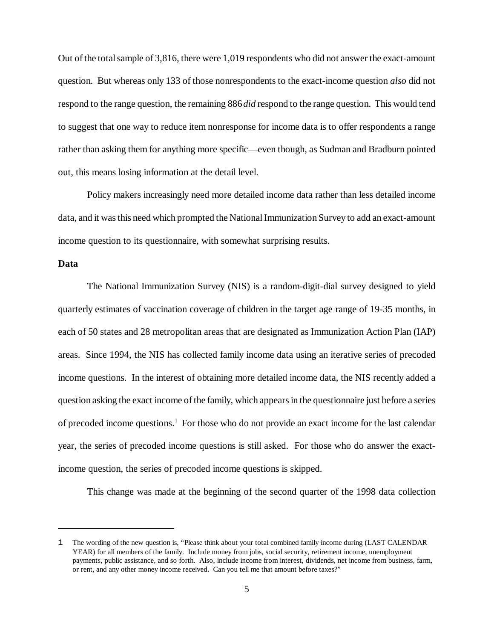Out of the total sample of 3,816, there were 1,019 respondents who did not answer the exact-amount question. But whereas only 133 of those nonrespondents to the exact-income question *also* did not respond to the range question, the remaining 886 *did* respond to the range question. This would tend to suggest that one way to reduce item nonresponse for income data is to offer respondents a range rather than asking them for anything more specific— even though, as Sudman and Bradburn pointed out, this means losing information at the detail level.

Policy makers increasingly need more detailed income data rather than less detailed income data, and it was this need which prompted the National Immunization Survey to add an exact-amount income question to its questionnaire, with somewhat surprising results.

## **Data**

The National Immunization Survey (NIS) is a random-digit-dial survey designed to yield quarterly estimates of vaccination coverage of children in the target age range of 19-35 months, in each of 50 states and 28 metropolitan areas that are designated as Immunization Action Plan (IAP) areas. Since 1994, the NIS has collected family income data using an iterative series of precoded income questions. In the interest of obtaining more detailed income data, the NIS recently added a question asking the exact income of the family, which appears in the questionnaire just before a series of precoded income questions.<sup>1</sup> For those who do not provide an exact income for the last calendar year, the series of precoded income questions is still asked. For those who do answer the exactincome question, the series of precoded income questions is skipped.

This change was made at the beginning of the second quarter of the 1998 data collection

<sup>1</sup> The wording of the new question is, "Please think about your total combined family income during (LAST CALENDAR YEAR) for all members of the family. Include money from jobs, social security, retirement income, unemployment payments, public assistance, and so forth. Also, include income from interest, dividends, net income from business, farm, or rent, and any other money income received. Can you tell me that amount before taxes?"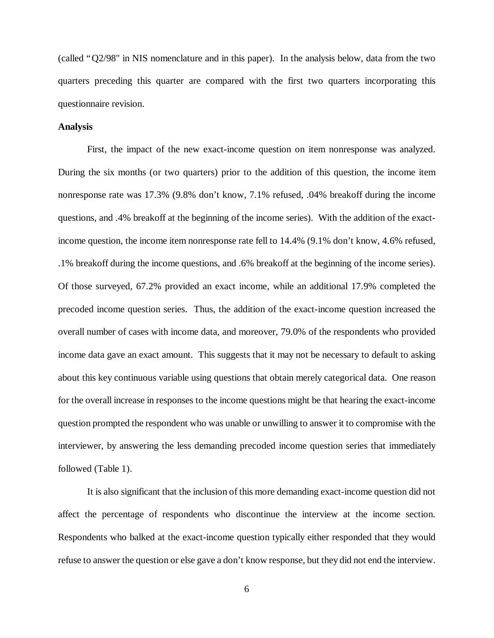(called "Q2/98" in NIS nomenclature and in this paper). In the analysis below, data from the two quarters preceding this quarter are compared with the first two quarters incorporating this questionnaire revision.

### **Analysis**

First, the impact of the new exact-income question on item nonresponse was analyzed. During the six months (or two quarters) prior to the addition of this question, the income item nonresponse rate was 17.3% (9.8% don't know, 7.1% refused, .04% breakoff during the income questions, and .4% breakoff at the beginning of the income series). With the addition of the exactincome question, the income item nonresponse rate fell to 14.4% (9.1% don't know, 4.6% refused, .1% breakoff during the income questions, and .6% breakoff at the beginning of the income series). Of those surveyed, 67.2% provided an exact income, while an additional 17.9% completed the precoded income question series. Thus, the addition of the exact-income question increased the overall number of cases with income data, and moreover, 79.0% of the respondents who provided income data gave an exact amount. This suggests that it may not be necessary to default to asking about this key continuous variable using questions that obtain merely categorical data. One reason for the overall increase in responses to the income questions might be that hearing the exact-income question prompted the respondent who was unable or unwilling to answer it to compromise with the interviewer, by answering the less demanding precoded income question series that immediately followed (Table 1).

It is also significant that the inclusion of this more demanding exact-income question did not affect the percentage of respondents who discontinue the interview at the income section. Respondents who balked at the exact-income question typically either responded that they would refuse to answer the question or else gave a don't know response, but they did not end the interview.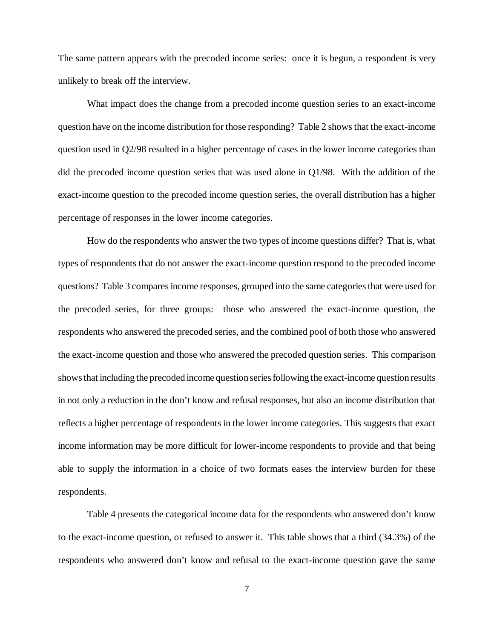The same pattern appears with the precoded income series: once it is begun, a respondent is very unlikely to break off the interview.

What impact does the change from a precoded income question series to an exact-income question have on the income distribution for those responding? Table 2 shows that the exact-income question used in Q2/98 resulted in a higher percentage of cases in the lower income categories than did the precoded income question series that was used alone in Q1/98. With the addition of the exact-income question to the precoded income question series, the overall distribution has a higher percentage of responses in the lower income categories.

How do the respondents who answer the two types of income questions differ? That is, what types of respondents that do not answer the exact-income question respond to the precoded income questions? Table 3 compares income responses, grouped into the same categories that were used for the precoded series, for three groups: those who answered the exact-income question, the respondents who answered the precoded series, and the combined pool of both those who answered the exact-income question and those who answered the precoded question series. This comparison shows that including the precoded income question series following the exact-income question results in not only a reduction in the don't know and refusal responses, but also an income distribution that reflects a higher percentage of respondents in the lower income categories. This suggests that exact income information may be more difficult for lower-income respondents to provide and that being able to supply the information in a choice of two formats eases the interview burden for these respondents.

Table 4 presents the categorical income data for the respondents who answered don't know to the exact-income question, or refused to answer it. This table shows that a third (34.3%) of the respondents who answered don't know and refusal to the exact-income question gave the same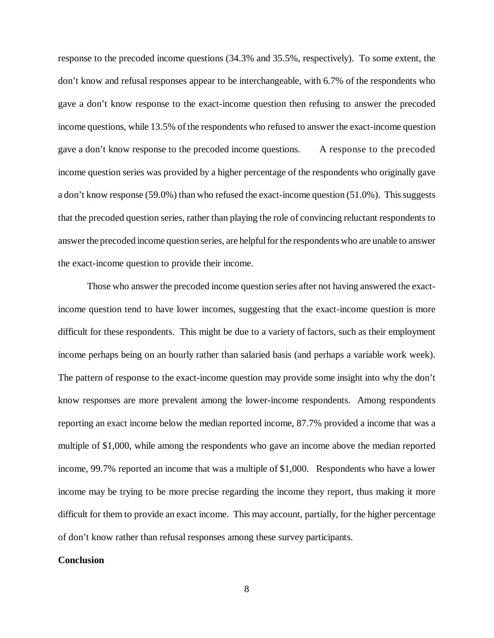response to the precoded income questions (34.3% and 35.5%, respectively). To some extent, the don't know and refusal responses appear to be interchangeable, with 6.7% of the respondents who gave a don't know response to the exact-income question then refusing to answer the precoded income questions, while 13.5% of the respondents who refused to answer the exact-income question gave a don't know response to the precoded income questions. A response to the precoded income question series was provided by a higher percentage of the respondents who originally gave a don't know response (59.0%) than who refused the exact-income question (51.0%). This suggests that the precoded question series, rather than playing the role of convincing reluctant respondents to answer the precoded income question series, are helpful for the respondents who are unable to answer the exact-income question to provide their income.

Those who answer the precoded income question series after not having answered the exactincome question tend to have lower incomes, suggesting that the exact-income question is more difficult for these respondents. This might be due to a variety of factors, such as their employment income perhaps being on an hourly rather than salaried basis (and perhaps a variable work week). The pattern of response to the exact-income question may provide some insight into why the don't know responses are more prevalent among the lower-income respondents. Among respondents reporting an exact income below the median reported income, 87.7% provided a income that was a multiple of \$1,000, while among the respondents who gave an income above the median reported income, 99.7% reported an income that was a multiple of \$1,000. Respondents who have a lower income may be trying to be more precise regarding the income they report, thus making it more difficult for them to provide an exact income. This may account, partially, for the higher percentage of don't know rather than refusal responses among these survey participants.

#### **Conclusion**